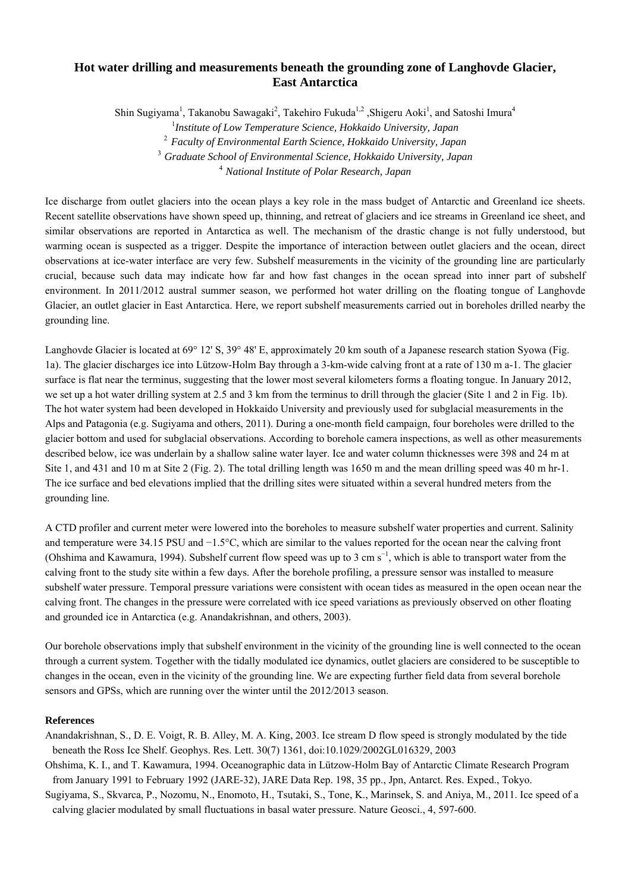## **Hot water drilling and measurements beneath the grounding zone of Langhovde Glacier, East Antarctica**

Shin Sugiyama<sup>1</sup>, Takanobu Sawagaki<sup>2</sup>, Takehiro Fukuda<sup>1,2</sup>, Shigeru Aoki<sup>1</sup>, and Satoshi Imura<sup>4</sup>

1 *Institute of Low Temperature Science, Hokkaido University, Japan*

<sup>2</sup> *Faculty of Environmental Earth Science, Hokkaido University, Japan* 

<sup>3</sup> *Graduate School of Environmental Science, Hokkaido University, Japan* 

<sup>4</sup> *National Institute of Polar Research, Japan* 

Ice discharge from outlet glaciers into the ocean plays a key role in the mass budget of Antarctic and Greenland ice sheets. Recent satellite observations have shown speed up, thinning, and retreat of glaciers and ice streams in Greenland ice sheet, and similar observations are reported in Antarctica as well. The mechanism of the drastic change is not fully understood, but warming ocean is suspected as a trigger. Despite the importance of interaction between outlet glaciers and the ocean, direct observations at ice-water interface are very few. Subshelf measurements in the vicinity of the grounding line are particularly crucial, because such data may indicate how far and how fast changes in the ocean spread into inner part of subshelf environment. In 2011/2012 austral summer season, we performed hot water drilling on the floating tongue of Langhovde Glacier, an outlet glacier in East Antarctica. Here, we report subshelf measurements carried out in boreholes drilled nearby the grounding line.

Langhovde Glacier is located at 69° 12' S, 39° 48' E, approximately 20 km south of a Japanese research station Syowa (Fig. 1a). The glacier discharges ice into Lützow-Holm Bay through a 3-km-wide calving front at a rate of 130 m a-1. The glacier surface is flat near the terminus, suggesting that the lower most several kilometers forms a floating tongue. In January 2012, we set up a hot water drilling system at 2.5 and 3 km from the terminus to drill through the glacier (Site 1 and 2 in Fig. 1b). The hot water system had been developed in Hokkaido University and previously used for subglacial measurements in the Alps and Patagonia (e.g. Sugiyama and others, 2011). During a one-month field campaign, four boreholes were drilled to the glacier bottom and used for subglacial observations. According to borehole camera inspections, as well as other measurements described below, ice was underlain by a shallow saline water layer. Ice and water column thicknesses were 398 and 24 m at Site 1, and 431 and 10 m at Site 2 (Fig. 2). The total drilling length was 1650 m and the mean drilling speed was 40 m hr-1. The ice surface and bed elevations implied that the drilling sites were situated within a several hundred meters from the grounding line.

A CTD profiler and current meter were lowered into the boreholes to measure subshelf water properties and current. Salinity and temperature were 34.15 PSU and −1.5°C, which are similar to the values reported for the ocean near the calving front (Ohshima and Kawamura, 1994). Subshelf current flow speed was up to 3 cm s<sup>-1</sup>, which is able to transport water from the calving front to the study site within a few days. After the borehole profiling, a pressure sensor was installed to measure subshelf water pressure. Temporal pressure variations were consistent with ocean tides as measured in the open ocean near the calving front. The changes in the pressure were correlated with ice speed variations as previously observed on other floating and grounded ice in Antarctica (e.g. Anandakrishnan, and others, 2003).

Our borehole observations imply that subshelf environment in the vicinity of the grounding line is well connected to the ocean through a current system. Together with the tidally modulated ice dynamics, outlet glaciers are considered to be susceptible to changes in the ocean, even in the vicinity of the grounding line. We are expecting further field data from several borehole sensors and GPSs, which are running over the winter until the 2012/2013 season.

## **References**

- Anandakrishnan, S., D. E. Voigt, R. B. Alley, M. A. King, 2003. Ice stream D flow speed is strongly modulated by the tide beneath the Ross Ice Shelf. Geophys. Res. Lett. 30(7) 1361, doi:10.1029/2002GL016329, 2003
- Ohshima, K. I., and T. Kawamura, 1994. Oceanographic data in Lützow-Holm Bay of Antarctic Climate Research Program from January 1991 to February 1992 (JARE-32), JARE Data Rep. 198, 35 pp., Jpn, Antarct. Res. Exped., Tokyo.
- Sugiyama, S., Skvarca, P., Nozomu, N., Enomoto, H., Tsutaki, S., Tone, K., Marinsek, S. and Aniya, M., 2011. Ice speed of a calving glacier modulated by small fluctuations in basal water pressure. Nature Geosci., 4, 597-600.